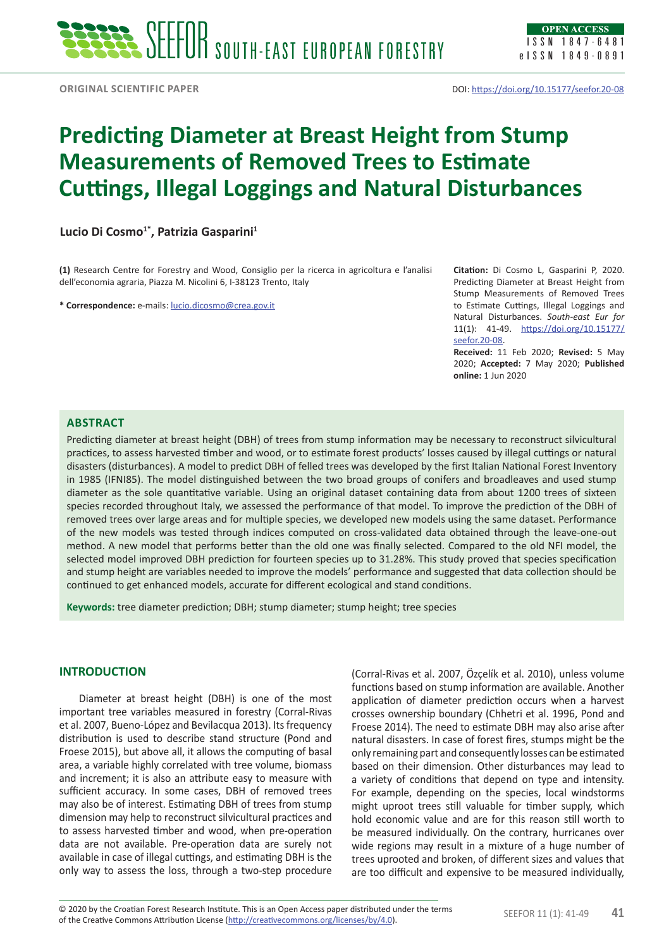# **Predicting Diameter at Breast Height from Stump Measurements of Removed Trees to Estimate Cuttings, Illegal Loggings and Natural Disturbances**

Lucio Di Cosmo<sup>1\*</sup>, Patrizia Gasparini<sup>1</sup>

**(1)** Research Centre for Forestry and Wood, Consiglio per la ricerca in agricoltura e l'analisi dell'economia agraria, Piazza M. Nicolini 6, I-38123 Trento, Italy

**\* Correspondence:** e-mails: [lucio.dicosmo@crea.gov.it](mailto:lucio.dicosmo@crea.gov.it)

**Citation:** Di Cosmo L, Gasparini P, 2020. Predicting Diameter at Breast Height from Stump Measurements of Removed Trees to Estimate Cuttings, Illegal Loggings and Natural Disturbances. *South-east Eur for* 11(1): 41-49. [https://doi.org/10.15177/](https://doi.org/10.15177/seefor.20-08) [seefor.20-08](https://doi.org/10.15177/seefor.20-08).

**Received:** 11 Feb 2020; **Revised:** 5 May 2020; **Accepted:** 7 May 2020; **Published online:** 1 Jun 2020

## **Abstract**

Predicting diameter at breast height (DBH) of trees from stump information may be necessary to reconstruct silvicultural practices, to assess harvested timber and wood, or to estimate forest products' losses caused by illegal cuttings or natural disasters (disturbances). A model to predict DBH of felled trees was developed by the first Italian National Forest Inventory in 1985 (IFNI85). The model distinguished between the two broad groups of conifers and broadleaves and used stump diameter as the sole quantitative variable. Using an original dataset containing data from about 1200 trees of sixteen species recorded throughout Italy, we assessed the performance of that model. To improve the prediction of the DBH of removed trees over large areas and for multiple species, we developed new models using the same dataset. Performance of the new models was tested through indices computed on cross-validated data obtained through the leave-one-out method. A new model that performs better than the old one was finally selected. Compared to the old NFI model, the selected model improved DBH prediction for fourteen species up to 31.28%. This study proved that species specification and stump height are variables needed to improve the models' performance and suggested that data collection should be continued to get enhanced models, accurate for different ecological and stand conditions.

**Keywords:** tree diameter prediction; DBH; stump diameter; stump height; tree species

# **INTRODUCTION**

Diameter at breast height (DBH) is one of the most important tree variables measured in forestry (Corral-Rivas et al. 2007, Bueno-López and Bevilacqua 2013). Its frequency distribution is used to describe stand structure (Pond and Froese 2015), but above all, it allows the computing of basal area, a variable highly correlated with tree volume, biomass and increment; it is also an attribute easy to measure with sufficient accuracy. In some cases, DBH of removed trees may also be of interest. Estimating DBH of trees from stump dimension may help to reconstruct silvicultural practices and to assess harvested timber and wood, when pre-operation data are not available. Pre-operation data are surely not available in case of illegal cuttings, and estimating DBH is the only way to assess the loss, through a two-step procedure

(Corral-Rivas et al. 2007, Özçelík et al. 2010), unless volume functions based on stump information are available. Another application of diameter prediction occurs when a harvest crosses ownership boundary (Chhetri et al. 1996, Pond and Froese 2014). The need to estimate DBH may also arise after natural disasters. In case of forest fires, stumps might be the only remaining part and consequently losses can be estimated based on their dimension. Other disturbances may lead to a variety of conditions that depend on type and intensity. For example, depending on the species, local windstorms might uproot trees still valuable for timber supply, which hold economic value and are for this reason still worth to be measured individually. On the contrary, hurricanes over wide regions may result in a mixture of a huge number of trees uprooted and broken, of different sizes and values that are too difficult and expensive to be measured individually,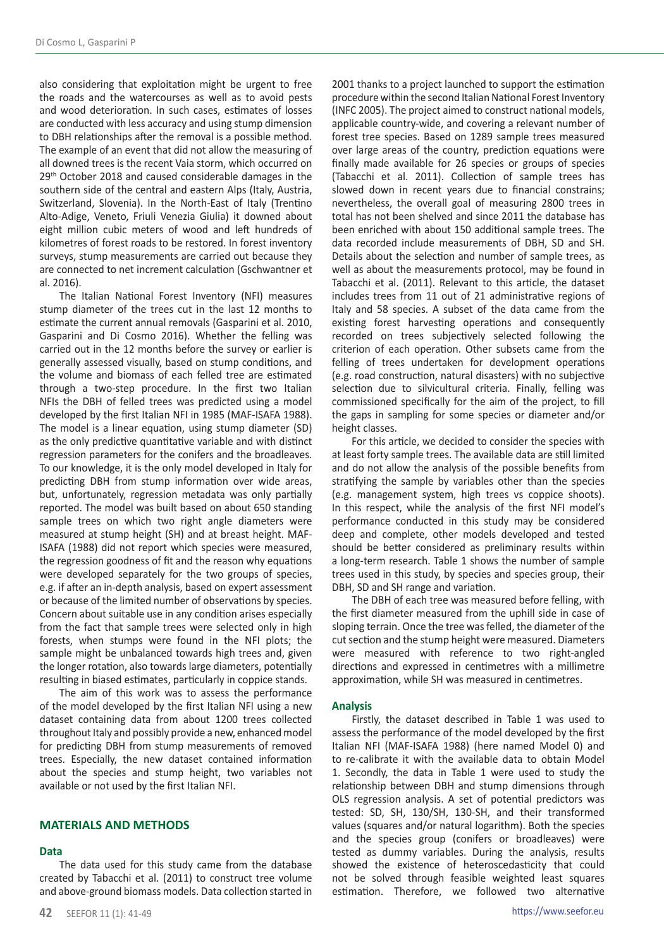also considering that exploitation might be urgent to free the roads and the watercourses as well as to avoid pests and wood deterioration. In such cases, estimates of losses are conducted with less accuracy and using stump dimension to DBH relationships after the removal is a possible method. The example of an event that did not allow the measuring of all downed trees is the recent Vaia storm, which occurred on 29<sup>th</sup> October 2018 and caused considerable damages in the southern side of the central and eastern Alps (Italy, Austria, Switzerland, Slovenia). In the North-East of Italy (Trentino Alto-Adige, Veneto, Friuli Venezia Giulia) it downed about eight million cubic meters of wood and left hundreds of kilometres of forest roads to be restored. In forest inventory surveys, stump measurements are carried out because they are connected to net increment calculation (Gschwantner et al. 2016).

The Italian National Forest Inventory (NFI) measures stump diameter of the trees cut in the last 12 months to estimate the current annual removals (Gasparini et al. 2010, Gasparini and Di Cosmo 2016). Whether the felling was carried out in the 12 months before the survey or earlier is generally assessed visually, based on stump conditions, and the volume and biomass of each felled tree are estimated through a two-step procedure. In the first two Italian NFIs the DBH of felled trees was predicted using a model developed by the first Italian NFI in 1985 (MAF-ISAFA 1988). The model is a linear equation, using stump diameter (SD) as the only predictive quantitative variable and with distinct regression parameters for the conifers and the broadleaves. To our knowledge, it is the only model developed in Italy for predicting DBH from stump information over wide areas, but, unfortunately, regression metadata was only partially reported. The model was built based on about 650 standing sample trees on which two right angle diameters were measured at stump height (SH) and at breast height. MAF-ISAFA (1988) did not report which species were measured, the regression goodness of fit and the reason why equations were developed separately for the two groups of species, e.g. if after an in-depth analysis, based on expert assessment or because of the limited number of observations by species. Concern about suitable use in any condition arises especially from the fact that sample trees were selected only in high forests, when stumps were found in the NFI plots; the sample might be unbalanced towards high trees and, given the longer rotation, also towards large diameters, potentially resulting in biased estimates, particularly in coppice stands.

The aim of this work was to assess the performance of the model developed by the first Italian NFI using a new dataset containing data from about 1200 trees collected throughout Italy and possibly provide a new, enhanced model for predicting DBH from stump measurements of removed trees. Especially, the new dataset contained information about the species and stump height, two variables not available or not used by the first Italian NFI.

## **MATERIALS AND METHODS**

#### **Data**

The data used for this study came from the database created by Tabacchi et al. (2011) to construct tree volume and above-ground biomass models. Data collection started in

**42** SEEFOR 11 (1): 41-49

2001 thanks to a project launched to support the estimation procedure within the second Italian National Forest Inventory (INFC 2005). The project aimed to construct national models, applicable country-wide, and covering a relevant number of forest tree species. Based on 1289 sample trees measured over large areas of the country, prediction equations were finally made available for 26 species or groups of species (Tabacchi et al. 2011). Collection of sample trees has slowed down in recent years due to financial constrains; nevertheless, the overall goal of measuring 2800 trees in total has not been shelved and since 2011 the database has been enriched with about 150 additional sample trees. The data recorded include measurements of DBH, SD and SH. Details about the selection and number of sample trees, as well as about the measurements protocol, may be found in Tabacchi et al. (2011). Relevant to this article, the dataset includes trees from 11 out of 21 administrative regions of Italy and 58 species. A subset of the data came from the existing forest harvesting operations and consequently recorded on trees subjectively selected following the criterion of each operation. Other subsets came from the felling of trees undertaken for development operations (e.g. road construction, natural disasters) with no subjective selection due to silvicultural criteria. Finally, felling was commissioned specifically for the aim of the project, to fill the gaps in sampling for some species or diameter and/or height classes.

For this article, we decided to consider the species with at least forty sample trees. The available data are still limited and do not allow the analysis of the possible benefits from stratifying the sample by variables other than the species (e.g. management system, high trees vs coppice shoots). In this respect, while the analysis of the first NFI model's performance conducted in this study may be considered deep and complete, other models developed and tested should be better considered as preliminary results within a long-term research. Table 1 shows the number of sample trees used in this study, by species and species group, their DBH, SD and SH range and variation.

The DBH of each tree was measured before felling, with the first diameter measured from the uphill side in case of sloping terrain. Once the tree was felled, the diameter of the cut section and the stump height were measured. Diameters were measured with reference to two right-angled directions and expressed in centimetres with a millimetre approximation, while SH was measured in centimetres.

#### **Analysis**

Firstly, the dataset described in Table 1 was used to assess the performance of the model developed by the first Italian NFI (MAF-ISAFA 1988) (here named Model 0) and to re-calibrate it with the available data to obtain Model 1. Secondly, the data in Table 1 were used to study the relationship between DBH and stump dimensions through OLS regression analysis. A set of potential predictors was tested: SD, SH, 130/SH, 130-SH, and their transformed values (squares and/or natural logarithm). Both the species and the species group (conifers or broadleaves) were tested as dummy variables. During the analysis, results showed the existence of heteroscedasticity that could not be solved through feasible weighted least squares estimation. Therefore, we followed two alternative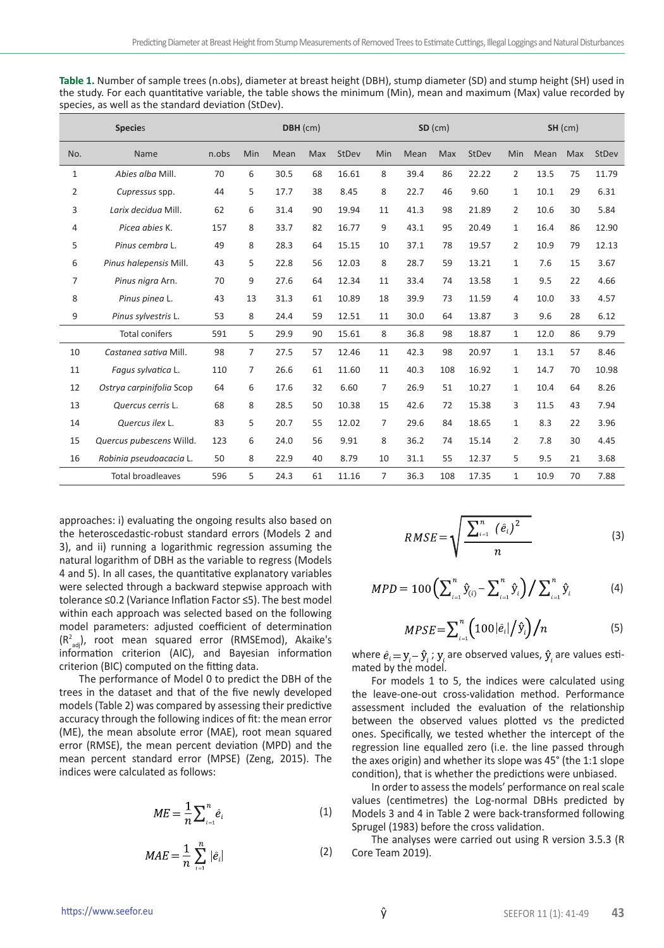|     | <b>Species</b>           |       |                | DBH (cm) |     |       |                |      | $SD$ (cm) |       |                |      | $SH$ (cm) |       |
|-----|--------------------------|-------|----------------|----------|-----|-------|----------------|------|-----------|-------|----------------|------|-----------|-------|
| No. | Name                     | n.obs | Min            | Mean     | Max | StDev | Min            | Mean | Max       | StDev | Min            | Mean | Max       | StDev |
| 1   | Abies alba Mill.         | 70    | 6              | 30.5     | 68  | 16.61 | 8              | 39.4 | 86        | 22.22 | 2              | 13.5 | 75        | 11.79 |
| 2   | Cupressus spp.           | 44    | 5              | 17.7     | 38  | 8.45  | 8              | 22.7 | 46        | 9.60  | $\mathbf{1}$   | 10.1 | 29        | 6.31  |
| 3   | Larix decidua Mill.      | 62    | 6              | 31.4     | 90  | 19.94 | 11             | 41.3 | 98        | 21.89 | 2              | 10.6 | 30        | 5.84  |
| 4   | Picea abies K.           | 157   | 8              | 33.7     | 82  | 16.77 | 9              | 43.1 | 95        | 20.49 | $\mathbf{1}$   | 16.4 | 86        | 12.90 |
| 5   | Pinus cembra L.          | 49    | 8              | 28.3     | 64  | 15.15 | 10             | 37.1 | 78        | 19.57 | $\overline{2}$ | 10.9 | 79        | 12.13 |
| 6   | Pinus halepensis Mill.   | 43    | 5              | 22.8     | 56  | 12.03 | 8              | 28.7 | 59        | 13.21 | $\mathbf{1}$   | 7.6  | 15        | 3.67  |
| 7   | Pinus nigra Arn.         | 70    | 9              | 27.6     | 64  | 12.34 | 11             | 33.4 | 74        | 13.58 | $\mathbf{1}$   | 9.5  | 22        | 4.66  |
| 8   | Pinus pinea L.           | 43    | 13             | 31.3     | 61  | 10.89 | 18             | 39.9 | 73        | 11.59 | 4              | 10.0 | 33        | 4.57  |
| 9   | Pinus sylvestris L.      | 53    | 8              | 24.4     | 59  | 12.51 | 11             | 30.0 | 64        | 13.87 | 3              | 9.6  | 28        | 6.12  |
|     | <b>Total conifers</b>    | 591   | 5              | 29.9     | 90  | 15.61 | 8              | 36.8 | 98        | 18.87 | $\mathbf{1}$   | 12.0 | 86        | 9.79  |
| 10  | Castanea sativa Mill.    | 98    | 7              | 27.5     | 57  | 12.46 | 11             | 42.3 | 98        | 20.97 | $\mathbf{1}$   | 13.1 | 57        | 8.46  |
| 11  | Fagus sylvatica L.       | 110   | $\overline{7}$ | 26.6     | 61  | 11.60 | 11             | 40.3 | 108       | 16.92 | $\mathbf{1}$   | 14.7 | 70        | 10.98 |
| 12  | Ostrya carpinifolia Scop | 64    | 6              | 17.6     | 32  | 6.60  | $\overline{7}$ | 26.9 | 51        | 10.27 | $\mathbf{1}$   | 10.4 | 64        | 8.26  |
| 13  | Quercus cerris L.        | 68    | 8              | 28.5     | 50  | 10.38 | 15             | 42.6 | 72        | 15.38 | 3              | 11.5 | 43        | 7.94  |
| 14  | Quercus ilex L.          | 83    | 5              | 20.7     | 55  | 12.02 | $\overline{7}$ | 29.6 | 84        | 18.65 | $\mathbf{1}$   | 8.3  | 22        | 3.96  |
| 15  | Quercus pubescens Willd. | 123   | 6              | 24.0     | 56  | 9.91  | 8              | 36.2 | 74        | 15.14 | 2              | 7.8  | 30        | 4.45  |
| 16  | Robinia pseudoacacia L.  | 50    | 8              | 22.9     | 40  | 8.79  | 10             | 31.1 | 55        | 12.37 | 5              | 9.5  | 21        | 3.68  |
|     | <b>Total broadleaves</b> | 596   | 5              | 24.3     | 61  | 11.16 | $\overline{7}$ | 36.3 | 108       | 17.35 | $\mathbf{1}$   | 10.9 | 70        | 7.88  |

**Table 1.** Number of sample trees (n.obs), diameter at breast height (DBH), stump diameter (SD) and stump height (SH) used in the study. For each quantitative variable, the table shows the minimum (Min), mean and maximum (Max) value recorded by species, as well as the standard deviation (StDev).

approaches: i) evaluating the ongoing results also based on the heteroscedastic-robust standard errors (Models 2 and 3), and ii) running a logarithmic regression assuming the natural logarithm of DBH as the variable to regress (Models 4 and 5). In all cases, the quantitative explanatory variables were selected through a backward stepwise approach with tolerance ≤0.2 (Variance Inflation Factor ≤5). The best model within each approach was selected based on the following model parameters: adjusted coefficient of determination  $(R^2_{adj})$ , root mean squared error (RMSEmod), Akaike's information criterion (AIC), and Bayesian information criterion (BIC) computed on the fitting data.

The performance of Model 0 to predict the DBH of the trees in the dataset and that of the five newly developed models (Table 2) was compared by assessing their predictive accuracy through the following indices of fit: the mean error (ME), the mean absolute error (MAE), root mean squared error (RMSE), the mean percent deviation (MPD) and the mean percent standard error (MPSE) (Zeng, 2015). The indices were calculated as follows:

$$
ME = \frac{1}{n} \sum_{i=1}^{n} \hat{e}_i
$$
 (1)

$$
MAE = \frac{1}{n} \sum_{i=1}^{n} |\hat{e}_i|
$$
 (2)

$$
RMSE = \sqrt{\frac{\sum_{i=1}^{n} (\hat{e}_i)^2}{n}}
$$
 (3)

$$
MPD = 100 \left( \sum_{i=1}^{n} \hat{y}_{(i)} - \sum_{i=1}^{n} \hat{y}_{i} \right) / \sum_{i=1}^{n} \hat{y}_{i}
$$
 (4)

$$
MPSE = \sum_{i=1}^{n} \left( 100 |\hat{e}_i| / \hat{y}_i \right) / n \tag{5}
$$

where  $\hat{e}_i = y_i - \hat{y}_i$ ; y, are observed values,  $\hat{y}_i$  are values estimated by the model.

For models 1 to 5, the indices were calculated using the leave-one-out cross-validation method. Performance assessment included the evaluation of the relationship between the observed values plotted vs the predicted ones. Specifically, we tested whether the intercept of the regression line equalled zero (i.e. the line passed through the axes origin) and whether its slope was 45° (the 1:1 slope condition), that is whether the predictions were unbiased.

In order to assess the models' performance on real scale values (centimetres) the Log-normal DBHs predicted by Models 3 and 4 in Table 2 were back-transformed following Sprugel (1983) before the cross validation.

The analyses were carried out using R version 3.5.3 (R Core Team 2019).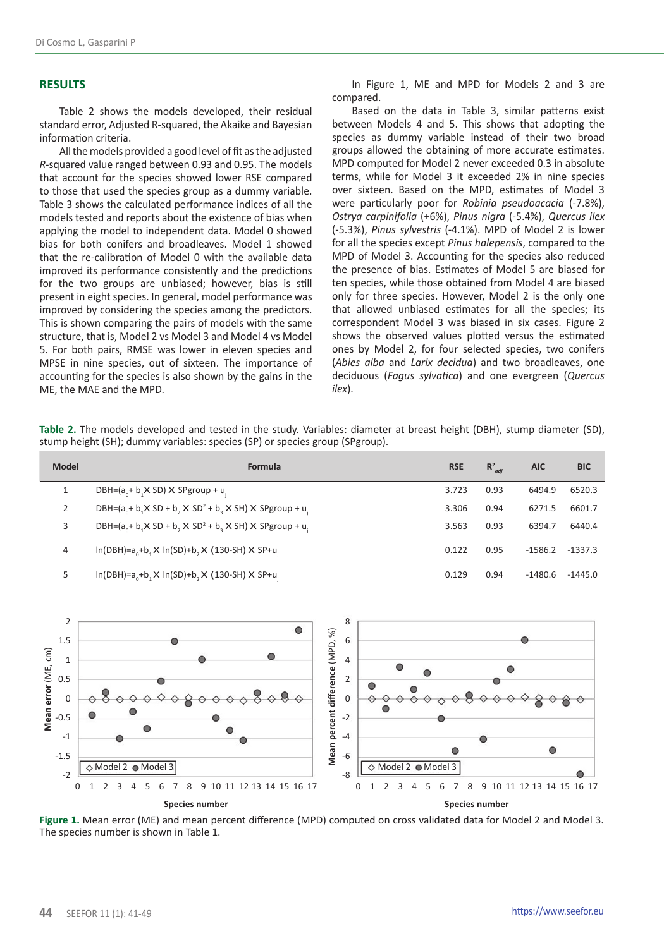## **RESULTS**

Table 2 shows the models developed, their residual standard error, Adjusted R-squared, the Akaike and Bayesian information criteria.

All the models provided a good level of fit as the adjusted *R*-squared value ranged between 0.93 and 0.95. The models that account for the species showed lower RSE compared to those that used the species group as a dummy variable. Table 3 shows the calculated performance indices of all the models tested and reports about the existence of bias when applying the model to independent data. Model 0 showed bias for both conifers and broadleaves. Model 1 showed that the re-calibration of Model 0 with the available data improved its performance consistently and the predictions for the two groups are unbiased; however, bias is still present in eight species. In general, model performance was improved by considering the species among the predictors. This is shown comparing the pairs of models with the same structure, that is, Model 2 vs Model 3 and Model 4 vs Model 5. For both pairs, RMSE was lower in eleven species and MPSE in nine species, out of sixteen. The importance of accounting for the species is also shown by the gains in the ME, the MAE and the MPD.

In Figure 1, ME and MPD for Models 2 and 3 are compared.

Based on the data in Table 3, similar patterns exist between Models 4 and 5. This shows that adopting the species as dummy variable instead of their two broad groups allowed the obtaining of more accurate estimates. MPD computed for Model 2 never exceeded 0.3 in absolute terms, while for Model 3 it exceeded 2% in nine species over sixteen. Based on the MPD, estimates of Model 3 were particularly poor for *Robinia pseudoacacia* (-7.8%), *Ostrya carpinifolia* (+6%), *Pinus nigra* (-5.4%), *Quercus ilex* (-5.3%), *Pinus sylvestris* (-4.1%). MPD of Model 2 is lower for all the species except *Pinus halepensis*, compared to the MPD of Model 3. Accounting for the species also reduced the presence of bias. Estimates of Model 5 are biased for ten species, while those obtained from Model 4 are biased only for three species. However, Model 2 is the only one that allowed unbiased estimates for all the species; its correspondent Model 3 was biased in six cases. Figure 2 shows the observed values plotted versus the estimated ones by Model 2, for four selected species, two conifers (*Abies alba* and *Larix decidua*) and two broadleaves, one deciduous (*Fagus sylvatica*) and one evergreen (*Quercus ilex*).

**Table 2.** The models developed and tested in the study. Variables: diameter at breast height (DBH), stump diameter (SD), stump height (SH); dummy variables: species (SP) or species group (SPgroup).

| <b>Model</b> | Formula                                                                       | <b>RSE</b> | $R^2$<br>adi | <b>AIC</b> | <b>BIC</b> |
|--------------|-------------------------------------------------------------------------------|------------|--------------|------------|------------|
|              | DBH= $(a_0 + b_1)$ X SPgroup + u                                              | 3.723      | 0.93         | 6494.9     | 6520.3     |
| 2            | DBH=(a <sub>n</sub> +b, X SD + b, X SD <sup>2</sup> + b, X SH) X SPgroup + u. | 3.306      | 0.94         | 6271.5     | 6601.7     |
| 3            | DBH=(a <sub>n</sub> +b, X SD + b, X SD <sup>2</sup> + b, X SH) X SPgroup + u. | 3.563      | 0.93         | 6394.7     | 6440.4     |
| 4            | $ln(DBH)=a_{n}+b_{n}X ln(SD)+b_{n}X (130-SH) X SP+u_{n}$                      | 0.122      | 0.95         | -1586.2    | $-1337.3$  |
| 5            | $ln(DBH)=aa+ba X ln(SD)+ba X (130-SH) X SP+ua$                                | 0.129      | 0.94         | $-1480.6$  | $-1445.0$  |



**Figure 1.** Mean error (ME) and mean percent difference (MPD) computed on cross validated data for Model 2 and Model 3. The species number is shown in Table 1.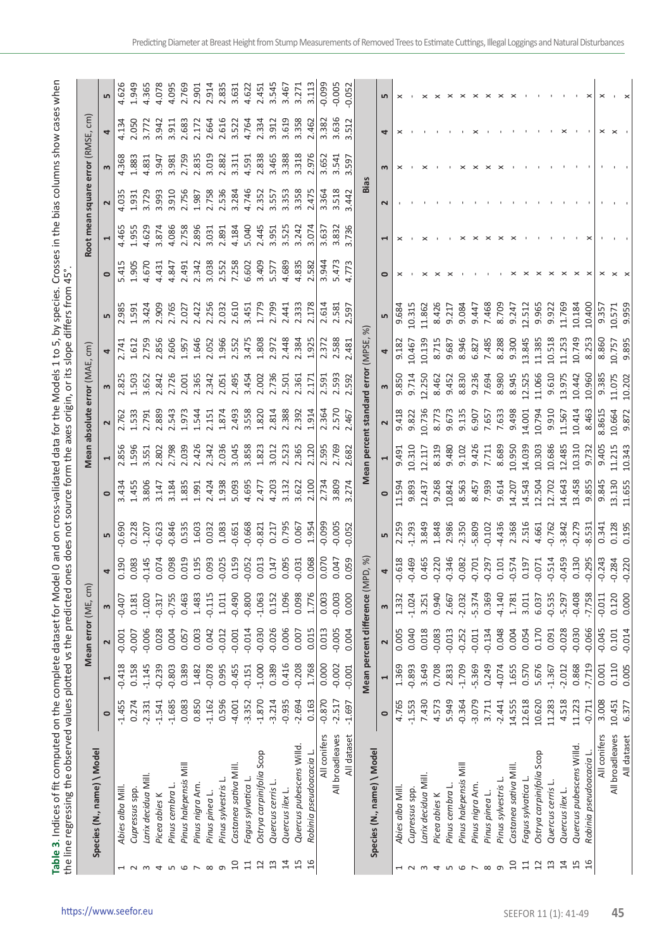| ١<br>$\frac{1}{2}$<br>l<br>۱        |                          |
|-------------------------------------|--------------------------|
|                                     |                          |
| l<br>J<br>j                         |                          |
|                                     |                          |
|                                     |                          |
|                                     |                          |
|                                     |                          |
|                                     |                          |
|                                     |                          |
|                                     |                          |
|                                     |                          |
| <b>、、、、、、、、、、、、、、、、、、、、、、、</b><br>י |                          |
|                                     | l                        |
| I                                   |                          |
|                                     | l                        |
|                                     |                          |
| L                                   |                          |
| $\ddot{\phantom{a}}$                | ï<br>ׇ֚֘֝֬               |
|                                     |                          |
|                                     |                          |
|                                     | j                        |
|                                     | a arianis                |
|                                     | $\overline{\phantom{a}}$ |
| 5                                   | ¢                        |
|                                     |                          |
| ţ                                   |                          |
|                                     |                          |
| $\ddot{ }$<br>י<br>ג<br>í           |                          |
|                                     |                          |
|                                     |                          |
|                                     | J<br>ׇ֚֓֡                |
|                                     |                          |
| ī                                   | i                        |
|                                     |                          |
| :                                   |                          |
| ۱<br>ï<br>í                         | S                        |
|                                     |                          |
| ׇ֘֝֬֝                               | ֕                        |
| e compl                             | Ï<br>ׇ֚֓֡                |
|                                     | ç<br>į                   |
| 1                                   | ļ<br>Ï                   |
| I                                   | ֠                        |
| j<br>۱                              | ׇ֓֡                      |
| l<br>ׇ֚֘֡                           | Ī<br>Ï                   |
| l                                   |                          |
|                                     | l<br>j                   |
|                                     | ļ                        |
| j<br>ł                              | I<br>י                   |
| ś                                   | j                        |
| ֧֚֓֜֡֜֓<br>í                        | ł                        |
| i<br>ׇ֚֕֡                           | ۱<br>ł                   |
|                                     |                          |

|                                                                                                                                                                                                                                                                                                                                                                                                                                                                                         | Species (N., name) \ Model |          |                                                                                                                                                                                                                                                                       |                                                    | Mean error (ME, cm)                                                                                      |                                           |                                                                                              |                                                                                                                                                                                                                                                                                               |                                                                                                                                                                             | Mean absolute error (MAE, cm)             |                                           |                                                                 |                                                                                                                                                                                                                                                                                                     |         |                         | Root mean square error (RMSE, cm)                                                                               |                                                                          |                |              |
|-----------------------------------------------------------------------------------------------------------------------------------------------------------------------------------------------------------------------------------------------------------------------------------------------------------------------------------------------------------------------------------------------------------------------------------------------------------------------------------------|----------------------------|----------|-----------------------------------------------------------------------------------------------------------------------------------------------------------------------------------------------------------------------------------------------------------------------|----------------------------------------------------|----------------------------------------------------------------------------------------------------------|-------------------------------------------|----------------------------------------------------------------------------------------------|-----------------------------------------------------------------------------------------------------------------------------------------------------------------------------------------------------------------------------------------------------------------------------------------------|-----------------------------------------------------------------------------------------------------------------------------------------------------------------------------|-------------------------------------------|-------------------------------------------|-----------------------------------------------------------------|-----------------------------------------------------------------------------------------------------------------------------------------------------------------------------------------------------------------------------------------------------------------------------------------------------|---------|-------------------------|-----------------------------------------------------------------------------------------------------------------|--------------------------------------------------------------------------|----------------|--------------|
|                                                                                                                                                                                                                                                                                                                                                                                                                                                                                         |                            | $\circ$  |                                                                                                                                                                                                                                                                       |                                                    |                                                                                                          |                                           |                                                                                              |                                                                                                                                                                                                                                                                                               |                                                                                                                                                                             |                                           |                                           |                                                                 | S                                                                                                                                                                                                                                                                                                   | $\circ$ |                         |                                                                                                                 |                                                                          |                |              |
|                                                                                                                                                                                                                                                                                                                                                                                                                                                                                         | Abies alba Mill            | $-1.455$ |                                                                                                                                                                                                                                                                       | $-0.001$                                           |                                                                                                          | 0.190                                     |                                                                                              | 3.434                                                                                                                                                                                                                                                                                         | $\frac{1}{2.856}$                                                                                                                                                           | 2.762                                     |                                           | 2.741                                                           |                                                                                                                                                                                                                                                                                                     | 5.41    | 4.465                   |                                                                                                                 | 4.368                                                                    |                | 4.626        |
| $\sim$ $\sim$                                                                                                                                                                                                                                                                                                                                                                                                                                                                           | Cupressus spp.             | 0.274    | $-0.418$<br>0.158<br>$-1.145$<br>0.303<br>0.803                                                                                                                                                                                                                       | 0.007                                              | $-0.407$<br>0.181<br>1.020                                                                               | 0.083<br>0.145                            | 0.690<br>0.228<br>-1.207                                                                     | 1.455<br>3.806                                                                                                                                                                                                                                                                                | L.596                                                                                                                                                                       | .533                                      | 2.825<br>1.503<br>3.652                   | 1.612<br>2.759                                                  | 2.985<br>1.591<br>3.424<br>2.027<br>2.027                                                                                                                                                                                                                                                           | 1.905   | L.955                   | 4.035<br>1.931<br>3.729                                                                                         | 1.883<br>4.831                                                           |                | 1.949        |
|                                                                                                                                                                                                                                                                                                                                                                                                                                                                                         | Larix decidua Mill         | $-2.331$ |                                                                                                                                                                                                                                                                       | 0.006                                              |                                                                                                          |                                           |                                                                                              |                                                                                                                                                                                                                                                                                               | 3.551                                                                                                                                                                       | <b>1791</b>                               |                                           |                                                                 |                                                                                                                                                                                                                                                                                                     | 4.670   | 1.629                   |                                                                                                                 |                                                                          |                | 4.365        |
|                                                                                                                                                                                                                                                                                                                                                                                                                                                                                         | Picea abies K              | $-1.541$ |                                                                                                                                                                                                                                                                       |                                                    |                                                                                                          | 0.074<br>0.098<br>0.019                   |                                                                                              |                                                                                                                                                                                                                                                                                               |                                                                                                                                                                             |                                           |                                           |                                                                 |                                                                                                                                                                                                                                                                                                     |         |                         |                                                                                                                 |                                                                          |                |              |
|                                                                                                                                                                                                                                                                                                                                                                                                                                                                                         | Pinus cembra L.            | $-1.685$ |                                                                                                                                                                                                                                                                       |                                                    |                                                                                                          |                                           |                                                                                              |                                                                                                                                                                                                                                                                                               |                                                                                                                                                                             |                                           |                                           |                                                                 |                                                                                                                                                                                                                                                                                                     |         | 3.874<br>4.086<br>2.758 | 3.993<br>3.910<br>2.756                                                                                         | 3.947<br>3.981                                                           |                |              |
| $400000$                                                                                                                                                                                                                                                                                                                                                                                                                                                                                | Pinus halepensis Mill      | 0.083    |                                                                                                                                                                                                                                                                       |                                                    |                                                                                                          |                                           |                                                                                              |                                                                                                                                                                                                                                                                                               |                                                                                                                                                                             | 2.889<br>2.543<br>1.544<br>1.874<br>2.874 | 2.842<br>2.726<br>2.365<br>2.365<br>2.051 | 2.856<br>2.606<br>1.957                                         |                                                                                                                                                                                                                                                                                                     |         |                         |                                                                                                                 | 2.759                                                                    |                |              |
|                                                                                                                                                                                                                                                                                                                                                                                                                                                                                         | Pinus nigra Arn.           | 0.850    |                                                                                                                                                                                                                                                                       |                                                    |                                                                                                          |                                           |                                                                                              |                                                                                                                                                                                                                                                                                               |                                                                                                                                                                             |                                           |                                           |                                                                 |                                                                                                                                                                                                                                                                                                     |         |                         |                                                                                                                 | 2.835                                                                    |                |              |
|                                                                                                                                                                                                                                                                                                                                                                                                                                                                                         | Pinus pinea L.             | $-1.162$ |                                                                                                                                                                                                                                                                       |                                                    |                                                                                                          |                                           |                                                                                              |                                                                                                                                                                                                                                                                                               |                                                                                                                                                                             |                                           |                                           | 1.646<br>2.052<br>2.552<br>2.552                                |                                                                                                                                                                                                                                                                                                     |         | 2.896<br>3.031<br>2.891 |                                                                                                                 |                                                                          |                |              |
| $\sigma$                                                                                                                                                                                                                                                                                                                                                                                                                                                                                | Pinus sylvestris L.        | 0.596    |                                                                                                                                                                                                                                                                       |                                                    |                                                                                                          |                                           |                                                                                              |                                                                                                                                                                                                                                                                                               |                                                                                                                                                                             |                                           |                                           |                                                                 |                                                                                                                                                                                                                                                                                                     |         |                         |                                                                                                                 |                                                                          |                |              |
| F                                                                                                                                                                                                                                                                                                                                                                                                                                                                                       | Castanea sativa Mill       | $-4.001$ |                                                                                                                                                                                                                                                                       | 0.028<br>0.057<br>0.003<br>0.042<br>0.012<br>0.001 | $-0.317$<br>$-0.463$<br>$-0.463$<br>$-1.111$<br>$-0.490$<br>$-0.490$<br>$-0.490$<br>$-0.663$<br>$-1.063$ | 0.195<br>0.093<br>0.055<br>0.052<br>0.013 | $-0.623$<br>$-0.533$<br>$-0.032$<br>$-0.033$<br>$-0.653$<br>$-0.653$<br>$-0.653$<br>$-0.653$ |                                                                                                                                                                                                                                                                                               |                                                                                                                                                                             | 2.493<br>3.558<br>1.820                   | 2.495                                     |                                                                 |                                                                                                                                                                                                                                                                                                     |         | 4.184<br>5.040<br>2.445 | $\begin{array}{l} 1.987 \\ 2.758 \\ 2.536 \\ 2.384 \\ 3.384 \\ 4.746 \\ 2.357 \\ 3.353 \\ 3.353 \\ \end{array}$ | $\begin{array}{c} 3.019 \\ 2.882 \\ 3.311 \\ 4.591 \\ 2.838 \end{array}$ |                |              |
| 日                                                                                                                                                                                                                                                                                                                                                                                                                                                                                       | Fagus sylvatica L.         | $-3.352$ |                                                                                                                                                                                                                                                                       | $-0.014$                                           |                                                                                                          |                                           |                                                                                              |                                                                                                                                                                                                                                                                                               |                                                                                                                                                                             |                                           | 3.454                                     | 3.475                                                           |                                                                                                                                                                                                                                                                                                     |         |                         |                                                                                                                 |                                                                          |                |              |
| F                                                                                                                                                                                                                                                                                                                                                                                                                                                                                       | Ostrya carpinifolia Scop   | $-1.870$ |                                                                                                                                                                                                                                                                       | $-0.030$                                           |                                                                                                          |                                           |                                                                                              |                                                                                                                                                                                                                                                                                               |                                                                                                                                                                             |                                           | 2.002                                     | 1.808                                                           |                                                                                                                                                                                                                                                                                                     |         |                         |                                                                                                                 |                                                                          |                |              |
| $\mathbf{u}$                                                                                                                                                                                                                                                                                                                                                                                                                                                                            | Quercus cerris L.          | $-3.214$ |                                                                                                                                                                                                                                                                       | $-0.026$                                           | 0.152<br>1.096                                                                                           | 0.147<br>0.095                            | 0.217<br>0.795                                                                               |                                                                                                                                                                                                                                                                                               |                                                                                                                                                                             | 2.814                                     | 2.736<br>2.501                            | 2.972                                                           |                                                                                                                                                                                                                                                                                                     |         | 3.951                   |                                                                                                                 | 3.465                                                                    |                |              |
| $\overline{1}$                                                                                                                                                                                                                                                                                                                                                                                                                                                                          | Quercus ilex L.            | $-0.935$ | $\begin{array}{c} 0.389\\ 0.482\\ 1.483\\ 0.078\\ 0.995\\ 0.451\\ 0.000\\ 0.000\\ 0.000\\ 0.000\\ 0.000\\ 0.000\\ 0.000\\ 0.000\\ 0.000\\ 0.000\\ 0.000\\ 0.000\\ 0.000\\ 0.000\\ 0.000\\ 0.000\\ 0.000\\ 0.000\\ 0.000\\ 0.000\\ 0.000\\ 0.000\\ 0.000\\ 0.000\\ 0.$ | 0.006                                              |                                                                                                          |                                           |                                                                                              | 3.132<br>3.622<br>2.100                                                                                                                                                                                                                                                                       |                                                                                                                                                                             | 2.388                                     |                                           | 2.448                                                           | $\begin{array}{l} 2.422 \\ 2.156 \\ 2.032 \\ 2.041 \\ 2.054 \\ 2.079 \\ 2.080 \\ 2.099 \\ 2.099 \\ 2.010 \\ 2.010 \\ 2.010 \\ 2.010 \\ 2.010 \\ 2.010 \\ 2.010 \\ 2.010 \\ 2.010 \\ 2.010 \\ 2.010 \\ 2.010 \\ 2.010 \\ 2.010 \\ 2.010 \\ 2.010 \\ 2.010 \\ 2.010 \\ 2.010 \\ 2.010 \\ 2.010 \\ 2.$ |         | 3.525                   |                                                                                                                 | 3.388                                                                    |                |              |
| 15                                                                                                                                                                                                                                                                                                                                                                                                                                                                                      | Quercus pubescens Willd.   | $-2.694$ |                                                                                                                                                                                                                                                                       | 0.007                                              | 0.098                                                                                                    | 0.031                                     | 0.067                                                                                        |                                                                                                                                                                                                                                                                                               |                                                                                                                                                                             | 2.392                                     | 2.361                                     | 2.384                                                           |                                                                                                                                                                                                                                                                                                     | 4.835   | 3.242                   | 3.358                                                                                                           | 3.318                                                                    |                | 3.271        |
| 16                                                                                                                                                                                                                                                                                                                                                                                                                                                                                      | Robinia pseudoacacia L     | 0.163    |                                                                                                                                                                                                                                                                       | 0.015                                              | 1.776                                                                                                    | 0.068                                     | 1.954                                                                                        |                                                                                                                                                                                                                                                                                               | 2.120                                                                                                                                                                       | 1.914                                     | 2.171                                     | 1.925                                                           |                                                                                                                                                                                                                                                                                                     | 2.582   | 3.074                   | 475                                                                                                             | .976                                                                     | 2.462          | 3.113        |
|                                                                                                                                                                                                                                                                                                                                                                                                                                                                                         | All conifers               | $-0.870$ | 0.000                                                                                                                                                                                                                                                                 | 0.013                                              | 0.003                                                                                                    | 0.070                                     | $-0.099$                                                                                     | 2.734                                                                                                                                                                                                                                                                                         | .595                                                                                                                                                                        | 2.364                                     | 2.591                                     | 2.372                                                           | 2.614                                                                                                                                                                                                                                                                                               | 3.944   | .637                    | .364                                                                                                            | .652                                                                     | 382            | <b>660'0</b> |
|                                                                                                                                                                                                                                                                                                                                                                                                                                                                                         | All broadleaves            | $-2.517$ | 0.002                                                                                                                                                                                                                                                                 | 0.005                                              | 0.003                                                                                                    | 0.047                                     | $-0.005$                                                                                     | 3.809                                                                                                                                                                                                                                                                                         |                                                                                                                                                                             | 2.570                                     | 2.593<br>2.592                            | 2.588                                                           |                                                                                                                                                                                                                                                                                                     | 473     | 3.832                   | .518                                                                                                            | 541                                                                      | $rac{36}{512}$ | $-0.005$     |
|                                                                                                                                                                                                                                                                                                                                                                                                                                                                                         | All dataset                | $-1.697$ | 0.001                                                                                                                                                                                                                                                                 | 0.004                                              | 0.000                                                                                                    | 0.059                                     | 0.052                                                                                        | 3.274                                                                                                                                                                                                                                                                                         | 2.682                                                                                                                                                                       | 2.467                                     |                                           | 2.481                                                           | 597                                                                                                                                                                                                                                                                                                 | 1.773   |                         | 442                                                                                                             | 597                                                                      |                | 0.052        |
|                                                                                                                                                                                                                                                                                                                                                                                                                                                                                         | Species (N., name) \ Model |          |                                                                                                                                                                                                                                                                       |                                                    | Mean percent difference (MPD, %)                                                                         |                                           |                                                                                              |                                                                                                                                                                                                                                                                                               |                                                                                                                                                                             | Mean percent standard error (MPSE,        |                                           | %                                                               |                                                                                                                                                                                                                                                                                                     |         |                         | Bias                                                                                                            |                                                                          |                |              |
|                                                                                                                                                                                                                                                                                                                                                                                                                                                                                         |                            | $\circ$  | $\overline{a}$                                                                                                                                                                                                                                                        | $\sim$                                             | S                                                                                                        |                                           |                                                                                              |                                                                                                                                                                                                                                                                                               |                                                                                                                                                                             | $\mathbf{\tilde{z}}$                      | m                                         |                                                                 | LŊ                                                                                                                                                                                                                                                                                                  |         |                         | $\mathbf{\tilde{z}}$                                                                                            | $\sim$                                                                   | $\overline{a}$ | LO           |
|                                                                                                                                                                                                                                                                                                                                                                                                                                                                                         | Abies alba Mill            | 4.765    | 1.369                                                                                                                                                                                                                                                                 | 0.005                                              | 1.332                                                                                                    | $-0.618$                                  | 2.259                                                                                        | 11.594                                                                                                                                                                                                                                                                                        | 9.491                                                                                                                                                                       | 9.418                                     | 9.850                                     | 9.182                                                           | 9.684                                                                                                                                                                                                                                                                                               |         |                         |                                                                                                                 |                                                                          |                |              |
| $\sim$                                                                                                                                                                                                                                                                                                                                                                                                                                                                                  | Cupressus spp.             | $-1.553$ |                                                                                                                                                                                                                                                                       | 0.040                                              | $-1.024$                                                                                                 | 0.469                                     | 1.293                                                                                        |                                                                                                                                                                                                                                                                                               | $10.310$<br>12.117                                                                                                                                                          | 9.822                                     | 9.714                                     | 10.467                                                          | 10.315                                                                                                                                                                                                                                                                                              |         |                         |                                                                                                                 |                                                                          |                |              |
| $\begin{array}{ccccccccccccccccc} \multicolumn{4}{c}{} & \multicolumn{4}{c}{} & \multicolumn{4}{c}{} & \multicolumn{4}{c}{} & \multicolumn{4}{c}{} & \multicolumn{4}{c}{} & \multicolumn{4}{c}{} & \multicolumn{4}{c}{} & \multicolumn{4}{c}{} & \multicolumn{4}{c}{} & \multicolumn{4}{c}{} & \multicolumn{4}{c}{} & \multicolumn{4}{c}{} & \multicolumn{4}{c}{} & \multicolumn{4}{c}{} & \multicolumn{4}{c}{} & \multicolumn{4}{c}{} & \multicolumn{4}{c}{} & \multicolumn{4}{c}{} &$ | Larix decidua Mill         | 7.430    | -0.893<br>3.649<br>0.708<br>2.833<br>-1.709                                                                                                                                                                                                                           | 0.018                                              | 3.251<br>0.940<br>2.667<br>2.032                                                                         | 0.465<br>0.220                            | 3.849<br>1.848<br>1.936<br>1.930<br>1.930<br>1.930                                           | $\begin{array}{c} 9.893 \\ 9.437 \\ 12.437 \\ 9.268 \\ 14.563 \\ 15.57 \\ 16.37 \\ 17.504 \\ 18.59 \\ 19.59 \\ 15.704 \\ 17.504 \\ 18.504 \\ 19.504 \\ 11.504 \\ 12.702 \\ 13.702 \\ 14.11 \\ 12.702 \\ 14.12.702 \\ 15.702 \\ 16.703 \\ 17.702 \\ 18.703 \\ 19.704 \\ 19.702 \\ 19.702 \\ 1$ |                                                                                                                                                                             | 10.736                                    | 2.250                                     | 10.139                                                          | 11.862                                                                                                                                                                                                                                                                                              |         |                         |                                                                                                                 |                                                                          |                |              |
|                                                                                                                                                                                                                                                                                                                                                                                                                                                                                         | Picea abies K              | 4.573    |                                                                                                                                                                                                                                                                       | 0.083                                              |                                                                                                          |                                           |                                                                                              |                                                                                                                                                                                                                                                                                               |                                                                                                                                                                             |                                           | 8.462                                     |                                                                 |                                                                                                                                                                                                                                                                                                     |         |                         |                                                                                                                 |                                                                          |                |              |
|                                                                                                                                                                                                                                                                                                                                                                                                                                                                                         | Pinus cembra L             | 5.949    |                                                                                                                                                                                                                                                                       | 0.013                                              |                                                                                                          | 46<br>0.082<br>0.701<br>0.101<br>0.574    |                                                                                              |                                                                                                                                                                                                                                                                                               | $\begin{array}{l} 8.319\\ 9.480\\ 9.102\\ 9.102\\ 9.11\\ 7.71\\ 8.689\\ 10.039\\ 9.030\\ 11.303\\ 10.303\\ 11.303\\ 12.303\\ 13.303\\ 14.303\\ 15.303\\ 16.686 \end{array}$ | 8.773<br>9.673<br>9.135<br>7.657<br>7.633 | 9.452                                     | 15<br>687<br>88482<br>884888<br>885<br>885<br>885<br>885<br>885 |                                                                                                                                                                                                                                                                                                     |         |                         |                                                                                                                 |                                                                          |                |              |
|                                                                                                                                                                                                                                                                                                                                                                                                                                                                                         | Pinus halepensis Mill      | $-0.364$ |                                                                                                                                                                                                                                                                       | $-0.252$<br>$-0.011$                               |                                                                                                          |                                           |                                                                                              |                                                                                                                                                                                                                                                                                               |                                                                                                                                                                             |                                           |                                           |                                                                 |                                                                                                                                                                                                                                                                                                     |         |                         |                                                                                                                 |                                                                          |                |              |
|                                                                                                                                                                                                                                                                                                                                                                                                                                                                                         | Pinus nigra Arn.           | $-3.079$ | -5.369                                                                                                                                                                                                                                                                |                                                    | $4,374$<br>$0.369$<br>$0.4781$<br>$0.781$                                                                |                                           |                                                                                              |                                                                                                                                                                                                                                                                                               |                                                                                                                                                                             |                                           | 8.830<br>9.736<br>9.980<br>8.980          |                                                                 |                                                                                                                                                                                                                                                                                                     |         |                         |                                                                                                                 |                                                                          |                |              |
|                                                                                                                                                                                                                                                                                                                                                                                                                                                                                         | Pinus pinea L.             | 3.711    |                                                                                                                                                                                                                                                                       |                                                    |                                                                                                          |                                           |                                                                                              |                                                                                                                                                                                                                                                                                               |                                                                                                                                                                             |                                           |                                           |                                                                 |                                                                                                                                                                                                                                                                                                     |         |                         |                                                                                                                 |                                                                          |                |              |
|                                                                                                                                                                                                                                                                                                                                                                                                                                                                                         | Pinus sylvestris L.        | $-2.441$ | 0.249<br>4.074<br>1.655                                                                                                                                                                                                                                               | 0.134<br>0.048<br>0.004                            |                                                                                                          |                                           |                                                                                              |                                                                                                                                                                                                                                                                                               |                                                                                                                                                                             |                                           |                                           |                                                                 |                                                                                                                                                                                                                                                                                                     |         |                         |                                                                                                                 |                                                                          |                |              |
| F                                                                                                                                                                                                                                                                                                                                                                                                                                                                                       | Castanea sativa Mill       | 14.555   |                                                                                                                                                                                                                                                                       |                                                    |                                                                                                          |                                           |                                                                                              |                                                                                                                                                                                                                                                                                               |                                                                                                                                                                             | 9.498                                     | 8.945                                     |                                                                 |                                                                                                                                                                                                                                                                                                     |         |                         |                                                                                                                 |                                                                          |                |              |
| 금                                                                                                                                                                                                                                                                                                                                                                                                                                                                                       | Fagus sylvatica L.         | 12.618   |                                                                                                                                                                                                                                                                       | 0.054                                              | 3.011<br>6.037                                                                                           | 0.197                                     | $7.102$<br>$4.436$<br>$2.516$<br>$4.661$<br>$4.661$                                          |                                                                                                                                                                                                                                                                                               |                                                                                                                                                                             | 14.001                                    | 12.525                                    | $13.845$<br>$11.385$                                            |                                                                                                                                                                                                                                                                                                     |         |                         |                                                                                                                 |                                                                          |                |              |
| ₽                                                                                                                                                                                                                                                                                                                                                                                                                                                                                       | Ostrya carpinifolia Scop   | 10.620   |                                                                                                                                                                                                                                                                       | 0.170<br>0.091                                     |                                                                                                          | $-0.071$<br>$-0.514$                      |                                                                                              |                                                                                                                                                                                                                                                                                               |                                                                                                                                                                             | 10.794<br>9.910                           | 11.066                                    |                                                                 |                                                                                                                                                                                                                                                                                                     |         |                         |                                                                                                                 |                                                                          |                |              |
| $_{13}$                                                                                                                                                                                                                                                                                                                                                                                                                                                                                 | Quercus cerris L.          | 11.283   |                                                                                                                                                                                                                                                                       |                                                    | $-0.535$                                                                                                 |                                           |                                                                                              |                                                                                                                                                                                                                                                                                               |                                                                                                                                                                             |                                           | 9.610                                     | 10.518                                                          |                                                                                                                                                                                                                                                                                                     |         |                         |                                                                                                                 |                                                                          |                |              |
| $\overline{4}$                                                                                                                                                                                                                                                                                                                                                                                                                                                                          | Quercus ilex L.            | 4.518    |                                                                                                                                                                                                                                                                       | $-0.028$                                           | $-5.297$                                                                                                 | $-0.459$                                  | $-3.842$<br>$-0.279$                                                                         |                                                                                                                                                                                                                                                                                               | 12.485                                                                                                                                                                      | 11.567                                    | 13.975                                    | 11.253                                                          | 11.769                                                                                                                                                                                                                                                                                              |         |                         |                                                                                                                 |                                                                          |                |              |
| $\overline{15}$                                                                                                                                                                                                                                                                                                                                                                                                                                                                         | Quercus pubescens Willd.   | 11.223   | 0.570<br>5.676<br>5.367<br>0.888<br>0.888                                                                                                                                                                                                                             | 0.030                                              | 0.408                                                                                                    | 0.130                                     |                                                                                              | 14.643<br>13.458<br>9.855                                                                                                                                                                                                                                                                     | 10.310                                                                                                                                                                      | 10.414                                    | 10.442                                    | 10.749                                                          | 10.184                                                                                                                                                                                                                                                                                              |         |                         |                                                                                                                 |                                                                          |                |              |
| 16                                                                                                                                                                                                                                                                                                                                                                                                                                                                                      | Robinia pseudoacacia L.    | $-0.711$ |                                                                                                                                                                                                                                                                       | 0.066                                              | 7.758                                                                                                    | 0.295                                     | 8.531                                                                                        |                                                                                                                                                                                                                                                                                               | 9.732                                                                                                                                                                       | 8.463                                     | 10.960                                    | 8.253                                                           | 10.400                                                                                                                                                                                                                                                                                              |         |                         |                                                                                                                 |                                                                          |                |              |
|                                                                                                                                                                                                                                                                                                                                                                                                                                                                                         | All conifers               | 3.008    | $\overline{0.001}$                                                                                                                                                                                                                                                    | 0.045                                              | 0.011                                                                                                    | $-0.243$                                  | 0.341                                                                                        | 9.845                                                                                                                                                                                                                                                                                         | 9.405                                                                                                                                                                       | 8.8615                                    | 9.385                                     | 8.860                                                           | 9.35                                                                                                                                                                                                                                                                                                |         |                         |                                                                                                                 |                                                                          |                |              |
|                                                                                                                                                                                                                                                                                                                                                                                                                                                                                         | All broadleaves            | 10.451   | 0.110<br>0.005                                                                                                                                                                                                                                                        | 0.101                                              | 0.120                                                                                                    | $-0.284$<br>$-0.220$                      | 0.128<br>0.195                                                                               | 13.130<br>11.655                                                                                                                                                                                                                                                                              | 11.215                                                                                                                                                                      | 10.664<br>9.872                           | 11.075<br>10.202                          | 10.757<br>9.895                                                 | 10.571<br>9.959                                                                                                                                                                                                                                                                                     |         |                         |                                                                                                                 |                                                                          |                |              |
|                                                                                                                                                                                                                                                                                                                                                                                                                                                                                         | All dataset                | 6.377    |                                                                                                                                                                                                                                                                       | $-0.014$                                           |                                                                                                          |                                           |                                                                                              |                                                                                                                                                                                                                                                                                               | 10.343                                                                                                                                                                      |                                           |                                           |                                                                 |                                                                                                                                                                                                                                                                                                     |         |                         |                                                                                                                 |                                                                          |                |              |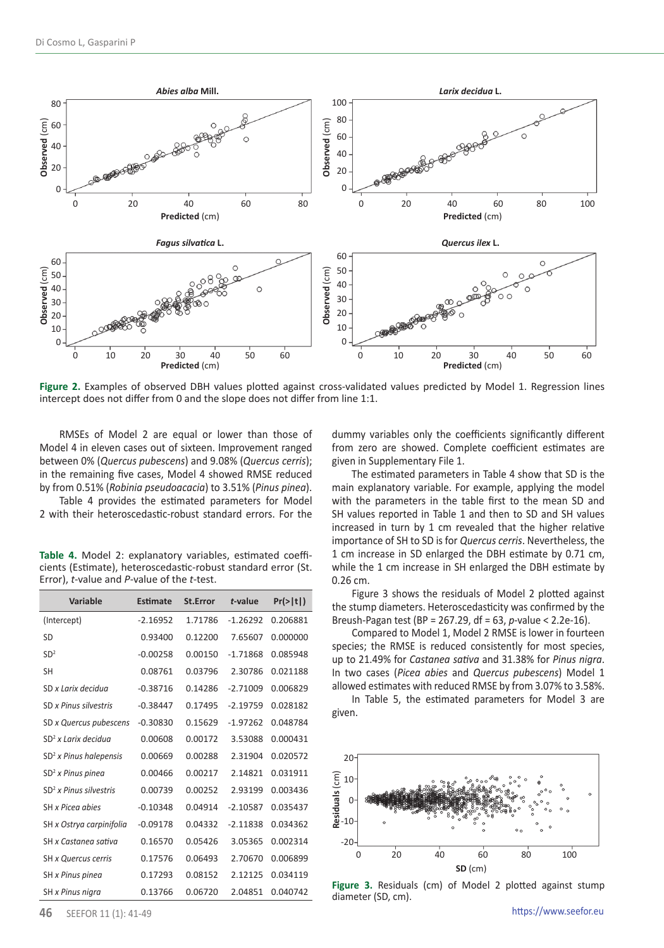

**Figure 2.** Examples of observed DBH values plotted against cross-validated values predicted by Model 1. Regression lines intercept does not differ from 0 and the slope does not differ from line 1:1.

RMSEs of Model 2 are equal or lower than those of Model 4 in eleven cases out of sixteen. Improvement ranged between 0% (*Quercus pubescens*) and 9.08% (*Quercus cerris*); in the remaining five cases, Model 4 showed RMSE reduced by from 0.51% (*Robinia pseudoacacia*) to 3.51% (*Pinus pinea*).

Table 4 provides the estimated parameters for Model 2 with their heteroscedastic-robust standard errors. For the

**Table 4.** Model 2: explanatory variables, estimated coefficients (Estimate), heteroscedastic-robust standard error (St. Error), *t*-value and *P*-value of the *t*-test.

| Variable                 | Estimate   | <b>St.Error</b> | t-value    | $Pr(>\vert t \vert)$ |
|--------------------------|------------|-----------------|------------|----------------------|
| (Intercept)              | $-2.16952$ | 1.71786         | $-1.26292$ | 0.206881             |
| <b>SD</b>                | 0.93400    | 0.12200         | 7.65607    | 0.000000             |
| SD <sup>2</sup>          | $-0.00258$ | 0.00150         | $-1.71868$ | 0.085948             |
| <b>SH</b>                | 0.08761    | 0.03796         | 2.30786    | 0.021188             |
| SD x Larix decidua       | $-0.38716$ | 0.14286         | $-2.71009$ | 0.006829             |
| SD x Pinus silvestris    | $-0.38447$ | 0.17495         | $-2.19759$ | 0.028182             |
| SD x Quercus pubescens   | $-0.30830$ | 0.15629         | $-1.97262$ | 0.048784             |
| $SD2$ x Larix decidua    | 0.00608    | 0.00172         | 3.53088    | 0.000431             |
| $SD2$ x Pinus halepensis | 0.00669    | 0.00288         | 2.31904    | 0.020572             |
| $SD2$ x Pinus pinea      | 0.00466    | 0.00217         | 2.14821    | 0.031911             |
| $SD2$ x Pinus silvestris | 0.00739    | 0.00252         | 2.93199    | 0.003436             |
| SH x Picea abies         | $-0.10348$ | 0.04914         | $-2.10587$ | 0.035437             |
| SH x Ostrya carpinifolia | $-0.09178$ | 0.04332         | $-2.11838$ | 0.034362             |
| SH x Castanea sativa     | 0.16570    | 0.05426         | 3.05365    | 0.002314             |
| SH x Quercus cerris      | 0.17576    | 0.06493         | 2.70670    | 0.006899             |
| SH x Pinus pinea         | 0.17293    | 0.08152         | 2.12125    | 0.034119             |
| SH x Pinus nigra         | 0.13766    | 0.06720         | 2.04851    | 0.040742             |

dummy variables only the coefficients significantly different from zero are showed. Complete coefficient estimates are given in Supplementary File 1.

The estimated parameters in Table 4 show that SD is the main explanatory variable. For example, applying the model with the parameters in the table first to the mean SD and SH values reported in Table 1 and then to SD and SH values increased in turn by 1 cm revealed that the higher relative importance of SH to SD is for *Quercus cerris*. Nevertheless, the 1 cm increase in SD enlarged the DBH estimate by 0.71 cm, while the 1 cm increase in SH enlarged the DBH estimate by 0.26 cm.

Figure 3 shows the residuals of Model 2 plotted against the stump diameters. Heteroscedasticity was confirmed by the Breush-Pagan test (BP = 267.29, df = 63, *p*-value < 2.2e-16).

Compared to Model 1, Model 2 RMSE is lower in fourteen species; the RMSE is reduced consistently for most species, up to 21.49% for *Castanea sativa* and 31.38% for *Pinus nigra*. In two cases (*Picea abies* and *Quercus pubescens*) Model 1 allowed estimates with reduced RMSE by from 3.07% to 3.58%.

In Table 5, the estimated parameters for Model 3 are given.



**Figure 3.** Residuals (cm) of Model 2 plotted against stump diameter (SD, cm).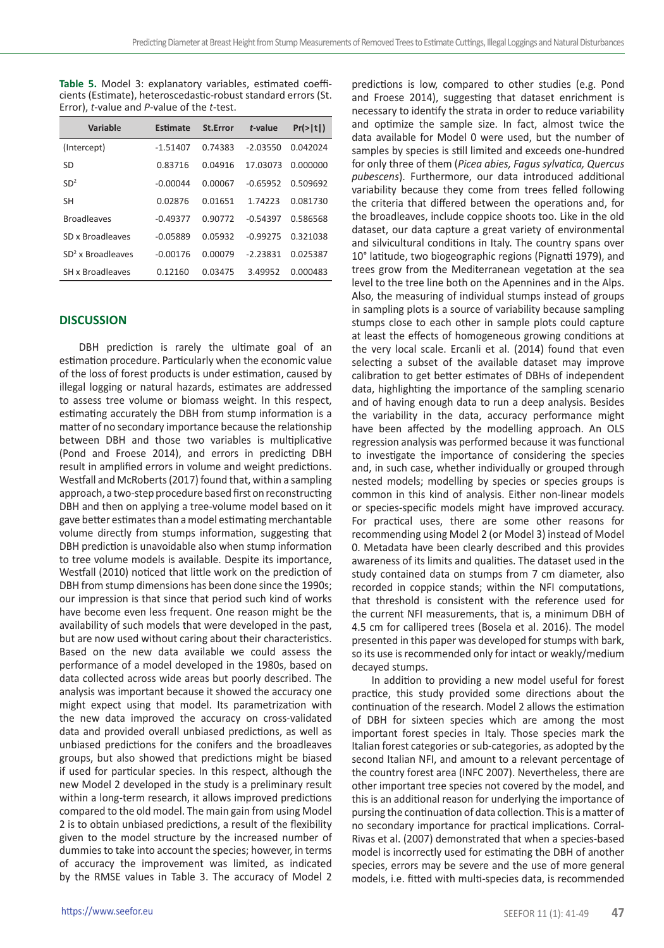**Table 5.** Model 3: explanatory variables, estimated coefficients (Estimate), heteroscedastic-robust standard errors (St. Error), *t*-value and *P*-value of the *t*-test.

| Variable            | Estimate   | <b>St.Error</b> | t-value    | $Pr(>\vert t \vert)$ |
|---------------------|------------|-----------------|------------|----------------------|
| (Intercept)         | $-1.51407$ | 0.74383         | $-2.03550$ | 0.042024             |
| SD                  | 0.83716    | 0.04916         | 17.03073   | 0.000000             |
| SD <sup>2</sup>     | $-0.00044$ | 0.00067         | $-0.65952$ | 0.509692             |
| SH                  | 0.02876    | 0.01651         | 1 74223    | 0.081730             |
| <b>Broadleaves</b>  | $-0.49377$ | 0.90772         | $-0.54397$ | 0.586568             |
| SD x Broadleaves    | $-0.05889$ | 0.05932         | $-0.99275$ | 0321038              |
| $SD2$ x Broadleaves | $-0.00176$ | 0.00079         | $-2.23831$ | 0.025387             |
| SH x Broadleaves    | 0.12160    | 0.03475         | 3.49952    | 0.000483             |

# **DISCUSSION**

DBH prediction is rarely the ultimate goal of an estimation procedure. Particularly when the economic value of the loss of forest products is under estimation, caused by illegal logging or natural hazards, estimates are addressed to assess tree volume or biomass weight. In this respect, estimating accurately the DBH from stump information is a matter of no secondary importance because the relationship between DBH and those two variables is multiplicative (Pond and Froese 2014), and errors in predicting DBH result in amplified errors in volume and weight predictions. Westfall and McRoberts (2017) found that, within a sampling approach, a two-step procedure based first on reconstructing DBH and then on applying a tree-volume model based on it gave better estimates than a model estimating merchantable volume directly from stumps information, suggesting that DBH prediction is unavoidable also when stump information to tree volume models is available. Despite its importance, Westfall (2010) noticed that little work on the prediction of DBH from stump dimensions has been done since the 1990s; our impression is that since that period such kind of works have become even less frequent. One reason might be the availability of such models that were developed in the past, but are now used without caring about their characteristics. Based on the new data available we could assess the performance of a model developed in the 1980s, based on data collected across wide areas but poorly described. The analysis was important because it showed the accuracy one might expect using that model. Its parametrization with the new data improved the accuracy on cross-validated data and provided overall unbiased predictions, as well as unbiased predictions for the conifers and the broadleaves groups, but also showed that predictions might be biased if used for particular species. In this respect, although the new Model 2 developed in the study is a preliminary result within a long-term research, it allows improved predictions compared to the old model. The main gain from using Model 2 is to obtain unbiased predictions, a result of the flexibility given to the model structure by the increased number of dummies to take into account the species; however, in terms of accuracy the improvement was limited, as indicated by the RMSE values in Table 3. The accuracy of Model 2

predictions is low, compared to other studies (e.g. Pond and Froese 2014), suggesting that dataset enrichment is necessary to identify the strata in order to reduce variability and optimize the sample size. In fact, almost twice the data available for Model 0 were used, but the number of samples by species is still limited and exceeds one-hundred for only three of them (*Picea abies, Fagus sylvatica, Quercus pubescens*). Furthermore, our data introduced additional variability because they come from trees felled following the criteria that differed between the operations and, for the broadleaves, include coppice shoots too. Like in the old dataset, our data capture a great variety of environmental and silvicultural conditions in Italy. The country spans over 10° latitude, two biogeographic regions (Pignatti 1979), and trees grow from the Mediterranean vegetation at the sea level to the tree line both on the Apennines and in the Alps. Also, the measuring of individual stumps instead of groups in sampling plots is a source of variability because sampling stumps close to each other in sample plots could capture at least the effects of homogeneous growing conditions at the very local scale. Ercanli et al. (2014) found that even selecting a subset of the available dataset may improve calibration to get better estimates of DBHs of independent data, highlighting the importance of the sampling scenario and of having enough data to run a deep analysis. Besides the variability in the data, accuracy performance might have been affected by the modelling approach. An OLS regression analysis was performed because it was functional to investigate the importance of considering the species and, in such case, whether individually or grouped through nested models; modelling by species or species groups is common in this kind of analysis. Either non-linear models or species-specific models might have improved accuracy. For practical uses, there are some other reasons for recommending using Model 2 (or Model 3) instead of Model 0. Metadata have been clearly described and this provides awareness of its limits and qualities. The dataset used in the study contained data on stumps from 7 cm diameter, also recorded in coppice stands; within the NFI computations, that threshold is consistent with the reference used for the current NFI measurements, that is, a minimum DBH of 4.5 cm for callipered trees (Bosela et al. 2016). The model presented in this paper was developed for stumps with bark, so its use is recommended only for intact or weakly/medium decayed stumps.

In addition to providing a new model useful for forest practice, this study provided some directions about the continuation of the research. Model 2 allows the estimation of DBH for sixteen species which are among the most important forest species in Italy. Those species mark the Italian forest categories or sub-categories, as adopted by the second Italian NFI, and amount to a relevant percentage of the country forest area (INFC 2007). Nevertheless, there are other important tree species not covered by the model, and this is an additional reason for underlying the importance of pursing the continuation of data collection. This is a matter of no secondary importance for practical implications. Corral-Rivas et al. (2007) demonstrated that when a species-based model is incorrectly used for estimating the DBH of another species, errors may be severe and the use of more general models, i.e. fitted with multi-species data, is recommended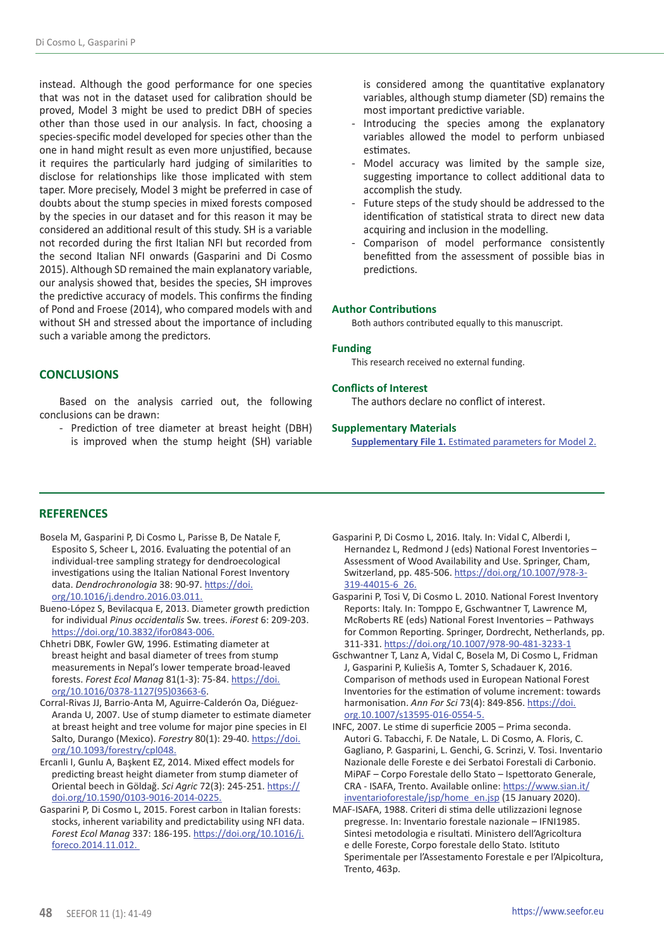instead. Although the good performance for one species that was not in the dataset used for calibration should be proved, Model 3 might be used to predict DBH of species other than those used in our analysis. In fact, choosing a species-specific model developed for species other than the one in hand might result as even more unjustified, because it requires the particularly hard judging of similarities to disclose for relationships like those implicated with stem taper. More precisely, Model 3 might be preferred in case of doubts about the stump species in mixed forests composed by the species in our dataset and for this reason it may be considered an additional result of this study. SH is a variable not recorded during the first Italian NFI but recorded from the second Italian NFI onwards (Gasparini and Di Cosmo 2015). Although SD remained the main explanatory variable, our analysis showed that, besides the species, SH improves the predictive accuracy of models. This confirms the finding of Pond and Froese (2014), who compared models with and without SH and stressed about the importance of including such a variable among the predictors.

## **CONCLUSIONS**

Based on the analysis carried out, the following conclusions can be drawn:

- Prediction of tree diameter at breast height (DBH) is improved when the stump height (SH) variable is considered among the quantitative explanatory variables, although stump diameter (SD) remains the most important predictive variable.

- Introducing the species among the explanatory variables allowed the model to perform unbiased estimates.
- Model accuracy was limited by the sample size, suggesting importance to collect additional data to accomplish the study.
- Future steps of the study should be addressed to the identification of statistical strata to direct new data acquiring and inclusion in the modelling.
- Comparison of model performance consistently benefitted from the assessment of possible bias in predictions.

## **Author Contributions**

Both authors contributed equally to this manuscript.

#### **Funding**

This research received no external funding.

## **Conflicts of Interest**

The authors declare no conflict of interest.

## **Supplementary Materials**

**Supplementary File 1.** [Estimated parameters for Model 2.](http://seefor.eu/images/arhiva/supp_material/di_cosmo_et_al_supp_1.pdf)

## **REFERENCES**

- Bosela M, Gasparini P, Di Cosmo L, Parisse B, De Natale F, Esposito S, Scheer L, 2016. Evaluating the potential of an individual-tree sampling strategy for dendroecological investigations using the Italian National Forest Inventory data. *Dendrochronologia* 38: 90-97. [https://doi.](https://doi.org/10.1016/j.dendro.2016.03.011) [org/10.1016/j.dendro.2016.03.011](https://doi.org/10.1016/j.dendro.2016.03.011).
- Bueno-López S, Bevilacqua E, 2013. Diameter growth prediction for individual *Pinus occidentalis* Sw. trees. *iForest* 6: 209-203. <https://doi.org/10.3832/ifor0843-006>.
- Chhetri DBK, Fowler GW, 1996. Estimating diameter at breast height and basal diameter of trees from stump measurements in Nepal's lower temperate broad-leaved forests. *Forest Ecol Manag* 81(1-3): 75-84. [https://doi.](https://doi.org/10.1016/0378-1127(95)03663-6) [org/10.1016/0378-1127\(95\)03663-6.](https://doi.org/10.1016/0378-1127(95)03663-6)
- Corral-Rivas JJ, Barrio-Anta M, Aguirre-Calderón Oa, Diéguez-Aranda U, 2007. Use of stump diameter to estimate diameter at breast height and tree volume for major pine species in El Salto, Durango (Mexico). *Forestry* 80(1): 29-40. [https://doi.](https://doi.org/10.1093/forestry/cpl048) [org/10.1093/forestry/cpl048.](https://doi.org/10.1093/forestry/cpl048)
- Ercanli I, Gunlu A, Başkent EZ, 2014. Mixed effect models for predicting breast height diameter from stump diameter of Oriental beech in Göldağ. *Sci Agric* 72(3): 245-251. [https://](https://doi.org/10.1590/0103-9016-2014-0225) [doi.org/10.1590/0103-9016-2014-0225](https://doi.org/10.1590/0103-9016-2014-0225).
- Gasparini P, Di Cosmo L, 2015. Forest carbon in Italian forests: stocks, inherent variability and predictability using NFI data. *Forest Ecol Manag* 337: 186-195. [https://doi.org/10.1016/j.](https://doi.org/10.1016/j.foreco.2014.11.012) [foreco.2014.11.012](https://doi.org/10.1016/j.foreco.2014.11.012).
- Gasparini P, Di Cosmo L, 2016. Italy. In: Vidal C, Alberdi I, Hernandez L, Redmond J (eds) National Forest Inventories – Assessment of Wood Availability and Use. Springer, Cham, Switzerland, pp. 485-506. [https://doi.org/10.1007/978-3-](https://doi.org/10.1007/978-3-319-44015-6_26) [319-44015-6\\_26](https://doi.org/10.1007/978-3-319-44015-6_26).
- Gasparini P, Tosi V, Di Cosmo L. 2010. National Forest Inventory Reports: Italy. In: Tomppo E, Gschwantner T, Lawrence M, McRoberts RE (eds) National Forest Inventories – Pathways for Common Reporting. Springer, Dordrecht, Netherlands, pp. 311-331. <https://doi.org/10.1007/978-90-481-3233-1>
- Gschwantner T, Lanz A, Vidal C, Bosela M, Di Cosmo L, Fridman J, Gasparini P, Kuliešis A, Tomter S, Schadauer K, 2016. Comparison of methods used in European National Forest Inventories for the estimation of volume increment: towards harmonisation. *Ann For Sci* 73(4): 849-856. [https://doi.](https://doi.org.10.1007/s13595-016-0554-5) [org.10.1007/s13595-016-0554-5](https://doi.org.10.1007/s13595-016-0554-5).
- INFC, 2007. Le stime di superficie 2005 Prima seconda. Autori G. Tabacchi, F. De Natale, L. Di Cosmo, A. Floris, C. Gagliano, P. Gasparini, L. Genchi, G. Scrinzi, V. Tosi. Inventario Nazionale delle Foreste e dei Serbatoi Forestali di Carbonio. MiPAF – Corpo Forestale dello Stato – Ispettorato Generale, CRA - ISAFA, Trento. Available online: [https://www.sian.it/](https://www.sian.it/inventarioforestale/jsp/home_en.jsp ) [inventarioforestale/jsp/home\\_en.jsp](https://www.sian.it/inventarioforestale/jsp/home_en.jsp ) (15 January 2020).
- MAF-ISAFA, 1988. Criteri di stima delle utilizzazioni legnose pregresse. In: Inventario forestale nazionale – IFNI1985. Sintesi metodologia e risultati. Ministero dell'Agricoltura e delle Foreste, Corpo forestale dello Stato. Istituto Sperimentale per l'Assestamento Forestale e per l'Alpicoltura, Trento, 463p.